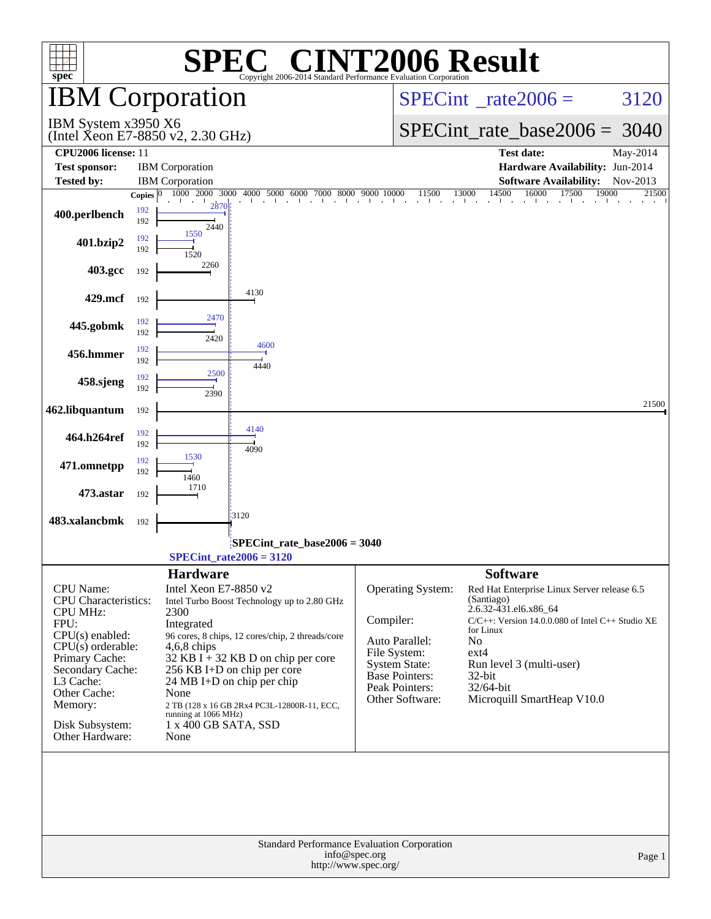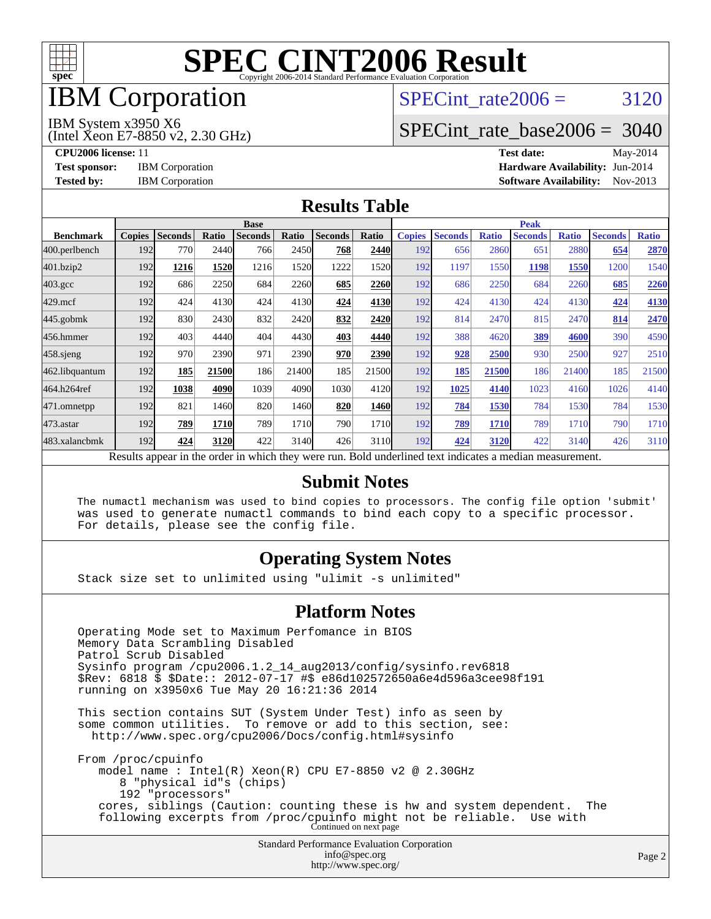

## IBM Corporation

## SPECint rate $2006 = 3120$

IBM System x3950 X6

(Intel Xeon E7-8850 v2, 2.30 GHz)

[SPECint\\_rate\\_base2006 =](http://www.spec.org/auto/cpu2006/Docs/result-fields.html#SPECintratebase2006) 3040

**[CPU2006 license:](http://www.spec.org/auto/cpu2006/Docs/result-fields.html#CPU2006license)** 11 **[Test date:](http://www.spec.org/auto/cpu2006/Docs/result-fields.html#Testdate)** May-2014 **[Test sponsor:](http://www.spec.org/auto/cpu2006/Docs/result-fields.html#Testsponsor)** IBM Corporation **[Hardware Availability:](http://www.spec.org/auto/cpu2006/Docs/result-fields.html#HardwareAvailability)** Jun-2014 **[Tested by:](http://www.spec.org/auto/cpu2006/Docs/result-fields.html#Testedby)** IBM Corporation **[Software Availability:](http://www.spec.org/auto/cpu2006/Docs/result-fields.html#SoftwareAvailability)** Nov-2013

#### **[Results Table](http://www.spec.org/auto/cpu2006/Docs/result-fields.html#ResultsTable)**

|                  | <b>Base</b>   |                |       |                                                                                                          |       |                |       | <b>Peak</b>   |                |              |                |              |                |              |
|------------------|---------------|----------------|-------|----------------------------------------------------------------------------------------------------------|-------|----------------|-------|---------------|----------------|--------------|----------------|--------------|----------------|--------------|
| <b>Benchmark</b> | <b>Copies</b> | <b>Seconds</b> | Ratio | <b>Seconds</b>                                                                                           | Ratio | <b>Seconds</b> | Ratio | <b>Copies</b> | <b>Seconds</b> | <b>Ratio</b> | <b>Seconds</b> | <b>Ratio</b> | <b>Seconds</b> | <b>Ratio</b> |
| 400.perlbench    | 192           | 770            | 2440  | 766                                                                                                      | 2450  | 768            | 2440  | 192           | 656            | 2860         | 651            | 2880         | 654            | 2870         |
| 401.bzip2        | 192           | 1216           | 1520  | 1216                                                                                                     | 1520  | 1222           | 1520  | 192           | 1197           | 1550         | 1198           | 1550         | 1200           | 1540         |
| $403.\text{gcc}$ | 192           | 686            | 2250  | 684                                                                                                      | 2260  | 685            | 2260  | 192           | 686            | 2250         | 684            | 2260         | 685            | 2260         |
| $429$ .mcf       | 192           | 424            | 4130  | 424                                                                                                      | 4130  | 424            | 4130  | 192           | 424            | 4130         | 424            | 4130         | 424            | 4130         |
| $445$ .gobmk     | 192           | 830            | 2430  | 832                                                                                                      | 2420  | 832            | 2420  | 192           | 814            | 2470         | 815            | 2470         | 814            | 2470         |
| 456.hmmer        | 192           | 403            | 4440  | 404                                                                                                      | 4430  | 403            | 4440  | 192           | 388            | 4620         | 389            | 4600         | 390            | 4590         |
| $458$ .sjeng     | 192           | 970            | 2390  | 971                                                                                                      | 2390  | 970            | 2390  | 192           | 928            | 2500         | 930            | 2500         | 927            | 2510         |
| 462.libquantum   | 192           | 185            | 21500 | 186                                                                                                      | 21400 | 185            | 21500 | 192           | 185            | 21500        | 186            | 21400        | 185            | 21500        |
| 464.h264ref      | 192           | 1038           | 4090  | 1039                                                                                                     | 4090  | 1030           | 4120  | 192           | 1025           | 4140         | 1023           | 4160         | 1026           | 4140         |
| 471.omnetpp      | 192           | 821            | 1460  | 820                                                                                                      | 1460  | 820            | 1460  | 192           | 784            | 1530         | 784            | 1530         | 784            | 1530         |
| 473.astar        | 192           | 789            | 1710  | 789                                                                                                      | 1710  | 790            | 1710  | 192           | 789            | 1710         | 789            | 1710         | 790            | 1710         |
| 483.xalancbmk    | 192           | 424            | 3120  | 422                                                                                                      | 3140  | 426            | 3110  | 192           | 424            | 3120         | 422            | 3140         | 426            | 3110         |
|                  |               |                |       | Results appear in the order in which they were run. Bold underlined text indicates a median measurement. |       |                |       |               |                |              |                |              |                |              |

#### **[Submit Notes](http://www.spec.org/auto/cpu2006/Docs/result-fields.html#SubmitNotes)**

 The numactl mechanism was used to bind copies to processors. The config file option 'submit' was used to generate numactl commands to bind each copy to a specific processor. For details, please see the config file.

### **[Operating System Notes](http://www.spec.org/auto/cpu2006/Docs/result-fields.html#OperatingSystemNotes)**

Stack size set to unlimited using "ulimit -s unlimited"

#### **[Platform Notes](http://www.spec.org/auto/cpu2006/Docs/result-fields.html#PlatformNotes)**

Standard Performance Evaluation Corporation Operating Mode set to Maximum Perfomance in BIOS Memory Data Scrambling Disabled Patrol Scrub Disabled Sysinfo program /cpu2006.1.2\_14\_aug2013/config/sysinfo.rev6818 \$Rev: 6818 \$ \$Date:: 2012-07-17 #\$ e86d102572650a6e4d596a3cee98f191 running on x3950x6 Tue May 20 16:21:36 2014 This section contains SUT (System Under Test) info as seen by some common utilities. To remove or add to this section, see: <http://www.spec.org/cpu2006/Docs/config.html#sysinfo> From /proc/cpuinfo model name : Intel(R) Xeon(R) CPU E7-8850 v2 @ 2.30GHz 8 "physical id"s (chips) 192 "processors" cores, siblings (Caution: counting these is hw and system dependent. The following excerpts from /proc/cpuinfo might not be reliable. Use with Continued on next page

[info@spec.org](mailto:info@spec.org) <http://www.spec.org/>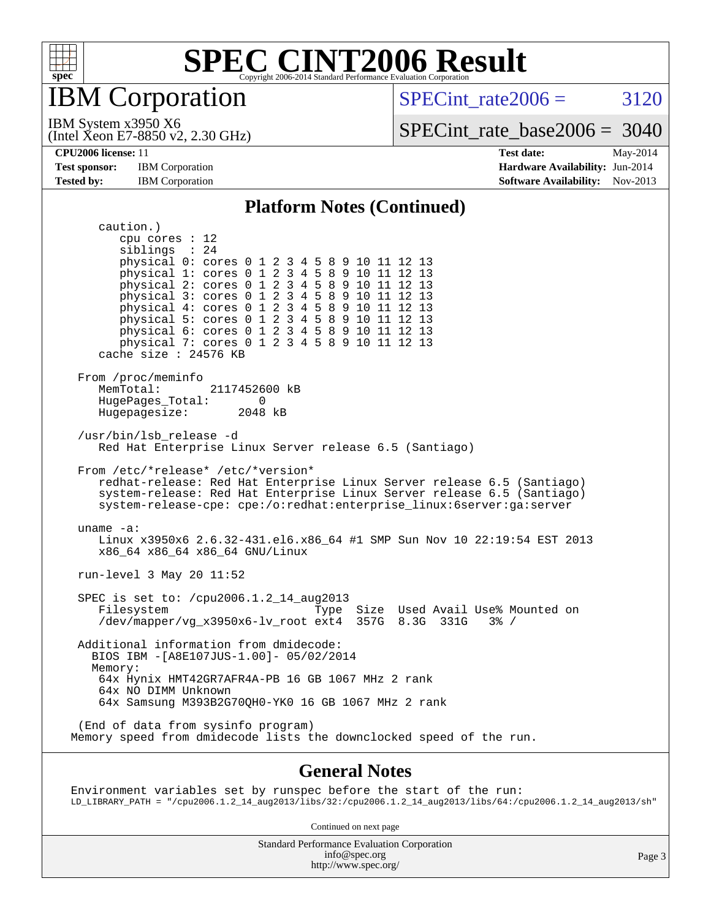

IBM Corporation

SPECint rate $2006 = 3120$ 

(Intel Xeon E7-8850 v2, 2.30 GHz) IBM System x3950 X6

[SPECint\\_rate\\_base2006 =](http://www.spec.org/auto/cpu2006/Docs/result-fields.html#SPECintratebase2006) 3040

**[Test sponsor:](http://www.spec.org/auto/cpu2006/Docs/result-fields.html#Testsponsor)** IBM Corporation **[Hardware Availability:](http://www.spec.org/auto/cpu2006/Docs/result-fields.html#HardwareAvailability)** Jun-2014

**[CPU2006 license:](http://www.spec.org/auto/cpu2006/Docs/result-fields.html#CPU2006license)** 11 **[Test date:](http://www.spec.org/auto/cpu2006/Docs/result-fields.html#Testdate)** May-2014 **[Tested by:](http://www.spec.org/auto/cpu2006/Docs/result-fields.html#Testedby)** IBM Corporation **IBM** Corporation **[Software Availability:](http://www.spec.org/auto/cpu2006/Docs/result-fields.html#SoftwareAvailability)** Nov-2013

#### **[Platform Notes \(Continued\)](http://www.spec.org/auto/cpu2006/Docs/result-fields.html#PlatformNotes)**

 caution.) cpu cores : 12 siblings : 24 physical 0: cores 0 1 2 3 4 5 8 9 10 11 12 13 physical 1: cores 0 1 2 3 4 5 8 9 10 11 12 13 physical 2: cores 0 1 2 3 4 5 8 9 10 11 12 13 physical 3: cores 0 1 2 3 4 5 8 9 10 11 12 13 physical 4: cores 0 1 2 3 4 5 8 9 10 11 12 13 physical 5: cores 0 1 2 3 4 5 8 9 10 11 12 13 physical 6: cores 0 1 2 3 4 5 8 9 10 11 12 13 physical 7: cores 0 1 2 3 4 5 8 9 10 11 12 13 cache size : 24576 KB From /proc/meminfo<br>MemTotal: 2117452600 kB HugePages\_Total: 0<br>Hugepagesize: 2048 kB Hugepagesize: /usr/bin/lsb\_release -d Red Hat Enterprise Linux Server release 6.5 (Santiago) From /etc/\*release\* /etc/\*version\* redhat-release: Red Hat Enterprise Linux Server release 6.5 (Santiago) system-release: Red Hat Enterprise Linux Server release 6.5 (Santiago) system-release-cpe: cpe:/o:redhat:enterprise\_linux:6server:ga:server uname -a: Linux x3950x6 2.6.32-431.el6.x86\_64 #1 SMP Sun Nov 10 22:19:54 EST 2013 x86\_64 x86\_64 x86\_64 GNU/Linux run-level 3 May 20 11:52 SPEC is set to: /cpu2006.1.2\_14\_aug2013<br>Filesystem Type Type Size Used Avail Use% Mounted on ext4 357G  $8.3G$  331G  $3% /$  /dev/mapper/vg\_x3950x6-lv\_root ext4 357G 8.3G 331G 3% / Additional information from dmidecode: BIOS IBM -[A8E107JUS-1.00]- 05/02/2014 Memory: 64x Hynix HMT42GR7AFR4A-PB 16 GB 1067 MHz 2 rank 64x NO DIMM Unknown 64x Samsung M393B2G70QH0-YK0 16 GB 1067 MHz 2 rank (End of data from sysinfo program) Memory speed from dmidecode lists the downclocked speed of the run.

#### **[General Notes](http://www.spec.org/auto/cpu2006/Docs/result-fields.html#GeneralNotes)**

Environment variables set by runspec before the start of the run: LD\_LIBRARY\_PATH = "/cpu2006.1.2\_14\_aug2013/libs/32:/cpu2006.1.2\_14\_aug2013/libs/64:/cpu2006.1.2\_14\_aug2013/sh"

Continued on next page

Standard Performance Evaluation Corporation [info@spec.org](mailto:info@spec.org) <http://www.spec.org/>

Page 3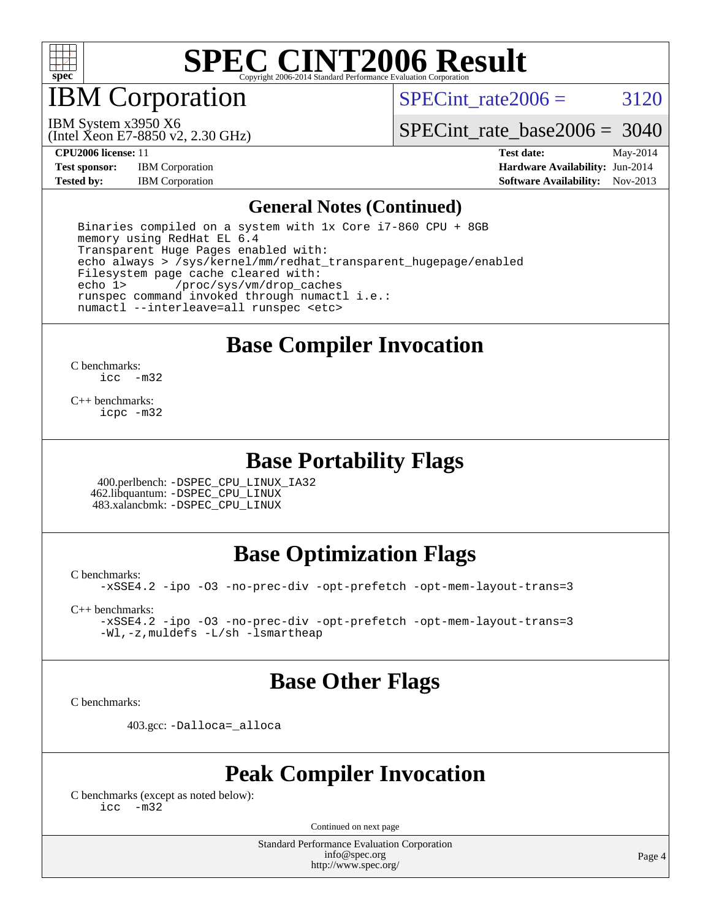

IBM Corporation

(Intel Xeon E7-8850 v2, 2.30 GHz)

SPECint rate $2006 = 3120$ 

IBM System x3950 X6

[SPECint\\_rate\\_base2006 =](http://www.spec.org/auto/cpu2006/Docs/result-fields.html#SPECintratebase2006) 3040

**[Test sponsor:](http://www.spec.org/auto/cpu2006/Docs/result-fields.html#Testsponsor)** IBM Corporation **[Hardware Availability:](http://www.spec.org/auto/cpu2006/Docs/result-fields.html#HardwareAvailability)** Jun-2014

**[CPU2006 license:](http://www.spec.org/auto/cpu2006/Docs/result-fields.html#CPU2006license)** 11 **[Test date:](http://www.spec.org/auto/cpu2006/Docs/result-fields.html#Testdate)** May-2014 **[Tested by:](http://www.spec.org/auto/cpu2006/Docs/result-fields.html#Testedby)** IBM Corporation **IBM** Corporation **[Software Availability:](http://www.spec.org/auto/cpu2006/Docs/result-fields.html#SoftwareAvailability)** Nov-2013

#### **[General Notes \(Continued\)](http://www.spec.org/auto/cpu2006/Docs/result-fields.html#GeneralNotes)**

 Binaries compiled on a system with 1x Core i7-860 CPU + 8GB memory using RedHat EL 6.4 Transparent Huge Pages enabled with: echo always > /sys/kernel/mm/redhat\_transparent\_hugepage/enabled Filesystem page cache cleared with:<br>echo 1> /proc/sys/vm/drop cac /proc/sys/vm/drop\_caches runspec command invoked through numactl i.e.: numactl --interleave=all runspec <etc>

**[Base Compiler Invocation](http://www.spec.org/auto/cpu2006/Docs/result-fields.html#BaseCompilerInvocation)**

[C benchmarks](http://www.spec.org/auto/cpu2006/Docs/result-fields.html#Cbenchmarks): [icc -m32](http://www.spec.org/cpu2006/results/res2014q3/cpu2006-20140611-29878.flags.html#user_CCbase_intel_icc_5ff4a39e364c98233615fdd38438c6f2)

[C++ benchmarks:](http://www.spec.org/auto/cpu2006/Docs/result-fields.html#CXXbenchmarks) [icpc -m32](http://www.spec.org/cpu2006/results/res2014q3/cpu2006-20140611-29878.flags.html#user_CXXbase_intel_icpc_4e5a5ef1a53fd332b3c49e69c3330699)

### **[Base Portability Flags](http://www.spec.org/auto/cpu2006/Docs/result-fields.html#BasePortabilityFlags)**

 400.perlbench: [-DSPEC\\_CPU\\_LINUX\\_IA32](http://www.spec.org/cpu2006/results/res2014q3/cpu2006-20140611-29878.flags.html#b400.perlbench_baseCPORTABILITY_DSPEC_CPU_LINUX_IA32) 462.libquantum: [-DSPEC\\_CPU\\_LINUX](http://www.spec.org/cpu2006/results/res2014q3/cpu2006-20140611-29878.flags.html#b462.libquantum_baseCPORTABILITY_DSPEC_CPU_LINUX) 483.xalancbmk: [-DSPEC\\_CPU\\_LINUX](http://www.spec.org/cpu2006/results/res2014q3/cpu2006-20140611-29878.flags.html#b483.xalancbmk_baseCXXPORTABILITY_DSPEC_CPU_LINUX)

## **[Base Optimization Flags](http://www.spec.org/auto/cpu2006/Docs/result-fields.html#BaseOptimizationFlags)**

[C benchmarks](http://www.spec.org/auto/cpu2006/Docs/result-fields.html#Cbenchmarks): [-xSSE4.2](http://www.spec.org/cpu2006/results/res2014q3/cpu2006-20140611-29878.flags.html#user_CCbase_f-xSSE42_f91528193cf0b216347adb8b939d4107) [-ipo](http://www.spec.org/cpu2006/results/res2014q3/cpu2006-20140611-29878.flags.html#user_CCbase_f-ipo) [-O3](http://www.spec.org/cpu2006/results/res2014q3/cpu2006-20140611-29878.flags.html#user_CCbase_f-O3) [-no-prec-div](http://www.spec.org/cpu2006/results/res2014q3/cpu2006-20140611-29878.flags.html#user_CCbase_f-no-prec-div) [-opt-prefetch](http://www.spec.org/cpu2006/results/res2014q3/cpu2006-20140611-29878.flags.html#user_CCbase_f-opt-prefetch) [-opt-mem-layout-trans=3](http://www.spec.org/cpu2006/results/res2014q3/cpu2006-20140611-29878.flags.html#user_CCbase_f-opt-mem-layout-trans_a7b82ad4bd7abf52556d4961a2ae94d5)

[C++ benchmarks:](http://www.spec.org/auto/cpu2006/Docs/result-fields.html#CXXbenchmarks)

[-xSSE4.2](http://www.spec.org/cpu2006/results/res2014q3/cpu2006-20140611-29878.flags.html#user_CXXbase_f-xSSE42_f91528193cf0b216347adb8b939d4107) [-ipo](http://www.spec.org/cpu2006/results/res2014q3/cpu2006-20140611-29878.flags.html#user_CXXbase_f-ipo) [-O3](http://www.spec.org/cpu2006/results/res2014q3/cpu2006-20140611-29878.flags.html#user_CXXbase_f-O3) [-no-prec-div](http://www.spec.org/cpu2006/results/res2014q3/cpu2006-20140611-29878.flags.html#user_CXXbase_f-no-prec-div) [-opt-prefetch](http://www.spec.org/cpu2006/results/res2014q3/cpu2006-20140611-29878.flags.html#user_CXXbase_f-opt-prefetch) [-opt-mem-layout-trans=3](http://www.spec.org/cpu2006/results/res2014q3/cpu2006-20140611-29878.flags.html#user_CXXbase_f-opt-mem-layout-trans_a7b82ad4bd7abf52556d4961a2ae94d5) [-Wl,-z,muldefs](http://www.spec.org/cpu2006/results/res2014q3/cpu2006-20140611-29878.flags.html#user_CXXbase_link_force_multiple1_74079c344b956b9658436fd1b6dd3a8a) [-L/sh -lsmartheap](http://www.spec.org/cpu2006/results/res2014q3/cpu2006-20140611-29878.flags.html#user_CXXbase_SmartHeap_32f6c82aa1ed9c52345d30cf6e4a0499)

## **[Base Other Flags](http://www.spec.org/auto/cpu2006/Docs/result-fields.html#BaseOtherFlags)**

[C benchmarks](http://www.spec.org/auto/cpu2006/Docs/result-fields.html#Cbenchmarks):

403.gcc: [-Dalloca=\\_alloca](http://www.spec.org/cpu2006/results/res2014q3/cpu2006-20140611-29878.flags.html#b403.gcc_baseEXTRA_CFLAGS_Dalloca_be3056838c12de2578596ca5467af7f3)

## **[Peak Compiler Invocation](http://www.spec.org/auto/cpu2006/Docs/result-fields.html#PeakCompilerInvocation)**

[C benchmarks \(except as noted below\)](http://www.spec.org/auto/cpu2006/Docs/result-fields.html#Cbenchmarksexceptasnotedbelow): [icc -m32](http://www.spec.org/cpu2006/results/res2014q3/cpu2006-20140611-29878.flags.html#user_CCpeak_intel_icc_5ff4a39e364c98233615fdd38438c6f2)

Continued on next page

Standard Performance Evaluation Corporation [info@spec.org](mailto:info@spec.org) <http://www.spec.org/>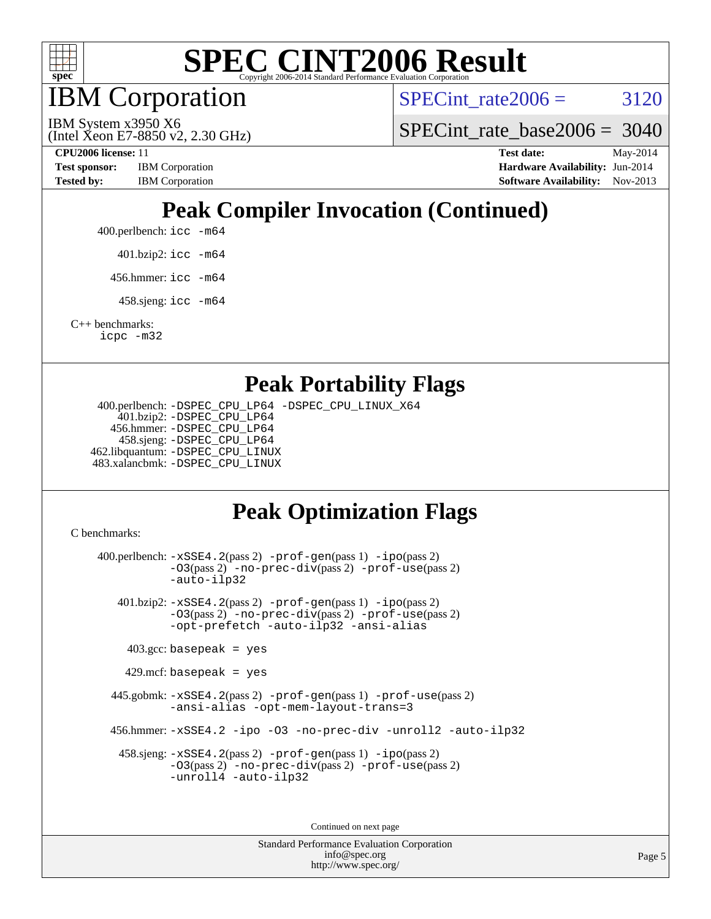

IBM Corporation

SPECint rate $2006 = 3120$ 

(Intel Xeon E7-8850 v2, 2.30 GHz) IBM System x3950 X6

[SPECint\\_rate\\_base2006 =](http://www.spec.org/auto/cpu2006/Docs/result-fields.html#SPECintratebase2006) 3040

**[Test sponsor:](http://www.spec.org/auto/cpu2006/Docs/result-fields.html#Testsponsor)** IBM Corporation **[Hardware Availability:](http://www.spec.org/auto/cpu2006/Docs/result-fields.html#HardwareAvailability)** Jun-2014 **[Tested by:](http://www.spec.org/auto/cpu2006/Docs/result-fields.html#Testedby)** IBM Corporation **IBM** Corporation **[Software Availability:](http://www.spec.org/auto/cpu2006/Docs/result-fields.html#SoftwareAvailability)** Nov-2013

**[CPU2006 license:](http://www.spec.org/auto/cpu2006/Docs/result-fields.html#CPU2006license)** 11 **[Test date:](http://www.spec.org/auto/cpu2006/Docs/result-fields.html#Testdate)** May-2014

# **[Peak Compiler Invocation \(Continued\)](http://www.spec.org/auto/cpu2006/Docs/result-fields.html#PeakCompilerInvocation)**

400.perlbench: [icc -m64](http://www.spec.org/cpu2006/results/res2014q3/cpu2006-20140611-29878.flags.html#user_peakCCLD400_perlbench_intel_icc_64bit_bda6cc9af1fdbb0edc3795bac97ada53)

401.bzip2: [icc -m64](http://www.spec.org/cpu2006/results/res2014q3/cpu2006-20140611-29878.flags.html#user_peakCCLD401_bzip2_intel_icc_64bit_bda6cc9af1fdbb0edc3795bac97ada53)

456.hmmer: [icc -m64](http://www.spec.org/cpu2006/results/res2014q3/cpu2006-20140611-29878.flags.html#user_peakCCLD456_hmmer_intel_icc_64bit_bda6cc9af1fdbb0edc3795bac97ada53)

458.sjeng: [icc -m64](http://www.spec.org/cpu2006/results/res2014q3/cpu2006-20140611-29878.flags.html#user_peakCCLD458_sjeng_intel_icc_64bit_bda6cc9af1fdbb0edc3795bac97ada53)

[C++ benchmarks:](http://www.spec.org/auto/cpu2006/Docs/result-fields.html#CXXbenchmarks) [icpc -m32](http://www.spec.org/cpu2006/results/res2014q3/cpu2006-20140611-29878.flags.html#user_CXXpeak_intel_icpc_4e5a5ef1a53fd332b3c49e69c3330699)

### **[Peak Portability Flags](http://www.spec.org/auto/cpu2006/Docs/result-fields.html#PeakPortabilityFlags)**

 400.perlbench: [-DSPEC\\_CPU\\_LP64](http://www.spec.org/cpu2006/results/res2014q3/cpu2006-20140611-29878.flags.html#b400.perlbench_peakCPORTABILITY_DSPEC_CPU_LP64) [-DSPEC\\_CPU\\_LINUX\\_X64](http://www.spec.org/cpu2006/results/res2014q3/cpu2006-20140611-29878.flags.html#b400.perlbench_peakCPORTABILITY_DSPEC_CPU_LINUX_X64) 401.bzip2: [-DSPEC\\_CPU\\_LP64](http://www.spec.org/cpu2006/results/res2014q3/cpu2006-20140611-29878.flags.html#suite_peakCPORTABILITY401_bzip2_DSPEC_CPU_LP64) 456.hmmer: [-DSPEC\\_CPU\\_LP64](http://www.spec.org/cpu2006/results/res2014q3/cpu2006-20140611-29878.flags.html#suite_peakCPORTABILITY456_hmmer_DSPEC_CPU_LP64) 458.sjeng: [-DSPEC\\_CPU\\_LP64](http://www.spec.org/cpu2006/results/res2014q3/cpu2006-20140611-29878.flags.html#suite_peakCPORTABILITY458_sjeng_DSPEC_CPU_LP64) 462.libquantum: [-DSPEC\\_CPU\\_LINUX](http://www.spec.org/cpu2006/results/res2014q3/cpu2006-20140611-29878.flags.html#b462.libquantum_peakCPORTABILITY_DSPEC_CPU_LINUX) 483.xalancbmk: [-DSPEC\\_CPU\\_LINUX](http://www.spec.org/cpu2006/results/res2014q3/cpu2006-20140611-29878.flags.html#b483.xalancbmk_peakCXXPORTABILITY_DSPEC_CPU_LINUX)

## **[Peak Optimization Flags](http://www.spec.org/auto/cpu2006/Docs/result-fields.html#PeakOptimizationFlags)**

[C benchmarks](http://www.spec.org/auto/cpu2006/Docs/result-fields.html#Cbenchmarks):

 400.perlbench: [-xSSE4.2](http://www.spec.org/cpu2006/results/res2014q3/cpu2006-20140611-29878.flags.html#user_peakPASS2_CFLAGSPASS2_LDCFLAGS400_perlbench_f-xSSE42_f91528193cf0b216347adb8b939d4107)(pass 2) [-prof-gen](http://www.spec.org/cpu2006/results/res2014q3/cpu2006-20140611-29878.flags.html#user_peakPASS1_CFLAGSPASS1_LDCFLAGS400_perlbench_prof_gen_e43856698f6ca7b7e442dfd80e94a8fc)(pass 1) [-ipo](http://www.spec.org/cpu2006/results/res2014q3/cpu2006-20140611-29878.flags.html#user_peakPASS2_CFLAGSPASS2_LDCFLAGS400_perlbench_f-ipo)(pass 2) [-O3](http://www.spec.org/cpu2006/results/res2014q3/cpu2006-20140611-29878.flags.html#user_peakPASS2_CFLAGSPASS2_LDCFLAGS400_perlbench_f-O3)(pass 2) [-no-prec-div](http://www.spec.org/cpu2006/results/res2014q3/cpu2006-20140611-29878.flags.html#user_peakPASS2_CFLAGSPASS2_LDCFLAGS400_perlbench_f-no-prec-div)(pass 2) [-prof-use](http://www.spec.org/cpu2006/results/res2014q3/cpu2006-20140611-29878.flags.html#user_peakPASS2_CFLAGSPASS2_LDCFLAGS400_perlbench_prof_use_bccf7792157ff70d64e32fe3e1250b55)(pass 2) [-auto-ilp32](http://www.spec.org/cpu2006/results/res2014q3/cpu2006-20140611-29878.flags.html#user_peakCOPTIMIZE400_perlbench_f-auto-ilp32) 401.bzip2: [-xSSE4.2](http://www.spec.org/cpu2006/results/res2014q3/cpu2006-20140611-29878.flags.html#user_peakPASS2_CFLAGSPASS2_LDCFLAGS401_bzip2_f-xSSE42_f91528193cf0b216347adb8b939d4107)(pass 2) [-prof-gen](http://www.spec.org/cpu2006/results/res2014q3/cpu2006-20140611-29878.flags.html#user_peakPASS1_CFLAGSPASS1_LDCFLAGS401_bzip2_prof_gen_e43856698f6ca7b7e442dfd80e94a8fc)(pass 1) [-ipo](http://www.spec.org/cpu2006/results/res2014q3/cpu2006-20140611-29878.flags.html#user_peakPASS2_CFLAGSPASS2_LDCFLAGS401_bzip2_f-ipo)(pass 2) [-O3](http://www.spec.org/cpu2006/results/res2014q3/cpu2006-20140611-29878.flags.html#user_peakPASS2_CFLAGSPASS2_LDCFLAGS401_bzip2_f-O3)(pass 2) [-no-prec-div](http://www.spec.org/cpu2006/results/res2014q3/cpu2006-20140611-29878.flags.html#user_peakPASS2_CFLAGSPASS2_LDCFLAGS401_bzip2_f-no-prec-div)(pass 2) [-prof-use](http://www.spec.org/cpu2006/results/res2014q3/cpu2006-20140611-29878.flags.html#user_peakPASS2_CFLAGSPASS2_LDCFLAGS401_bzip2_prof_use_bccf7792157ff70d64e32fe3e1250b55)(pass 2) [-opt-prefetch](http://www.spec.org/cpu2006/results/res2014q3/cpu2006-20140611-29878.flags.html#user_peakCOPTIMIZE401_bzip2_f-opt-prefetch) [-auto-ilp32](http://www.spec.org/cpu2006/results/res2014q3/cpu2006-20140611-29878.flags.html#user_peakCOPTIMIZE401_bzip2_f-auto-ilp32) [-ansi-alias](http://www.spec.org/cpu2006/results/res2014q3/cpu2006-20140611-29878.flags.html#user_peakCOPTIMIZE401_bzip2_f-ansi-alias)  $403.\text{gcc: basepeak}$  = yes  $429$ .mcf: basepeak = yes 445.gobmk: [-xSSE4.2](http://www.spec.org/cpu2006/results/res2014q3/cpu2006-20140611-29878.flags.html#user_peakPASS2_CFLAGSPASS2_LDCFLAGS445_gobmk_f-xSSE42_f91528193cf0b216347adb8b939d4107)(pass 2) [-prof-gen](http://www.spec.org/cpu2006/results/res2014q3/cpu2006-20140611-29878.flags.html#user_peakPASS1_CFLAGSPASS1_LDCFLAGS445_gobmk_prof_gen_e43856698f6ca7b7e442dfd80e94a8fc)(pass 1) [-prof-use](http://www.spec.org/cpu2006/results/res2014q3/cpu2006-20140611-29878.flags.html#user_peakPASS2_CFLAGSPASS2_LDCFLAGS445_gobmk_prof_use_bccf7792157ff70d64e32fe3e1250b55)(pass 2) [-ansi-alias](http://www.spec.org/cpu2006/results/res2014q3/cpu2006-20140611-29878.flags.html#user_peakCOPTIMIZE445_gobmk_f-ansi-alias) [-opt-mem-layout-trans=3](http://www.spec.org/cpu2006/results/res2014q3/cpu2006-20140611-29878.flags.html#user_peakCOPTIMIZE445_gobmk_f-opt-mem-layout-trans_a7b82ad4bd7abf52556d4961a2ae94d5) 456.hmmer: [-xSSE4.2](http://www.spec.org/cpu2006/results/res2014q3/cpu2006-20140611-29878.flags.html#user_peakCOPTIMIZE456_hmmer_f-xSSE42_f91528193cf0b216347adb8b939d4107) [-ipo](http://www.spec.org/cpu2006/results/res2014q3/cpu2006-20140611-29878.flags.html#user_peakCOPTIMIZE456_hmmer_f-ipo) [-O3](http://www.spec.org/cpu2006/results/res2014q3/cpu2006-20140611-29878.flags.html#user_peakCOPTIMIZE456_hmmer_f-O3) [-no-prec-div](http://www.spec.org/cpu2006/results/res2014q3/cpu2006-20140611-29878.flags.html#user_peakCOPTIMIZE456_hmmer_f-no-prec-div) [-unroll2](http://www.spec.org/cpu2006/results/res2014q3/cpu2006-20140611-29878.flags.html#user_peakCOPTIMIZE456_hmmer_f-unroll_784dae83bebfb236979b41d2422d7ec2) [-auto-ilp32](http://www.spec.org/cpu2006/results/res2014q3/cpu2006-20140611-29878.flags.html#user_peakCOPTIMIZE456_hmmer_f-auto-ilp32) 458.sjeng: [-xSSE4.2](http://www.spec.org/cpu2006/results/res2014q3/cpu2006-20140611-29878.flags.html#user_peakPASS2_CFLAGSPASS2_LDCFLAGS458_sjeng_f-xSSE42_f91528193cf0b216347adb8b939d4107)(pass 2) [-prof-gen](http://www.spec.org/cpu2006/results/res2014q3/cpu2006-20140611-29878.flags.html#user_peakPASS1_CFLAGSPASS1_LDCFLAGS458_sjeng_prof_gen_e43856698f6ca7b7e442dfd80e94a8fc)(pass 1) [-ipo](http://www.spec.org/cpu2006/results/res2014q3/cpu2006-20140611-29878.flags.html#user_peakPASS2_CFLAGSPASS2_LDCFLAGS458_sjeng_f-ipo)(pass 2) [-O3](http://www.spec.org/cpu2006/results/res2014q3/cpu2006-20140611-29878.flags.html#user_peakPASS2_CFLAGSPASS2_LDCFLAGS458_sjeng_f-O3)(pass 2) [-no-prec-div](http://www.spec.org/cpu2006/results/res2014q3/cpu2006-20140611-29878.flags.html#user_peakPASS2_CFLAGSPASS2_LDCFLAGS458_sjeng_f-no-prec-div)(pass 2) [-prof-use](http://www.spec.org/cpu2006/results/res2014q3/cpu2006-20140611-29878.flags.html#user_peakPASS2_CFLAGSPASS2_LDCFLAGS458_sjeng_prof_use_bccf7792157ff70d64e32fe3e1250b55)(pass 2) [-unroll4](http://www.spec.org/cpu2006/results/res2014q3/cpu2006-20140611-29878.flags.html#user_peakCOPTIMIZE458_sjeng_f-unroll_4e5e4ed65b7fd20bdcd365bec371b81f) [-auto-ilp32](http://www.spec.org/cpu2006/results/res2014q3/cpu2006-20140611-29878.flags.html#user_peakCOPTIMIZE458_sjeng_f-auto-ilp32) Continued on next page

> Standard Performance Evaluation Corporation [info@spec.org](mailto:info@spec.org) <http://www.spec.org/>